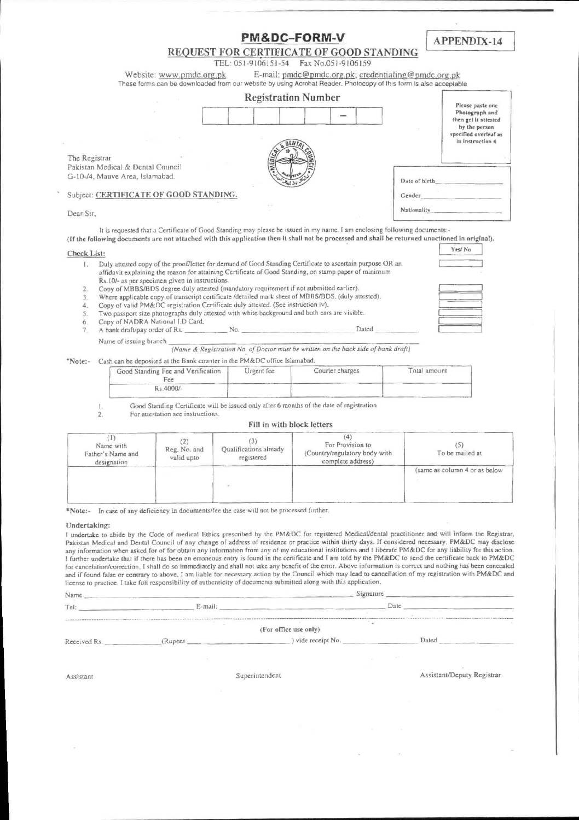# PM&DC-FORM-V

|  |  | EQUEST FOR CERTIFICATE OF GOOD STANDING |  |  |
|--|--|-----------------------------------------|--|--|
|  |  |                                         |  |  |

TEL: 051-9106151-54 Fax No.051-9106159 Website: www.pmdc.org.pk<br>These forms can be downloaded from our website by using Acrobat Reader. Photocopy of this form is also acceptable

|                                                                                                                                                                                                                                           | <b>Registration Number</b> |  |               |                                                            |
|-------------------------------------------------------------------------------------------------------------------------------------------------------------------------------------------------------------------------------------------|----------------------------|--|---------------|------------------------------------------------------------|
|                                                                                                                                                                                                                                           |                            |  |               | Please paste one<br>Photograph and<br>then get it attested |
|                                                                                                                                                                                                                                           |                            |  |               | by the person<br>specified overleaf as<br>in instruction 4 |
| The Registrar<br>Pakistan Medical & Dental Council                                                                                                                                                                                        |                            |  |               |                                                            |
| G-10-/4. Mauve Area, Islamabad.                                                                                                                                                                                                           |                            |  | Date of hirth |                                                            |
| Subject: CERTIFICATE OF GOOD STANDING.                                                                                                                                                                                                    |                            |  | Gender        |                                                            |
| Dear Sir,                                                                                                                                                                                                                                 |                            |  | Nationality   |                                                            |
| 1206201<br>the second company of the second company of the second company of the second company of the second company of the second company of the second company of the second company of the second company of the second company of th | .                          |  | .             |                                                            |

It is requested that a Certificate of Good Standing may please be issued in my name. I am enclosing following documents:-(If the following documents are not attached with this application then it shall not be processed and shall be returned unactioned in original).

### Check List:

| Duly attested copy of the proof/letter for demand of Good Standing Certificate to ascertain purpose OR an<br>affidavit explaining the reason for attaining Certificate of Good Standing, on stamp paper of minimum |  |
|--------------------------------------------------------------------------------------------------------------------------------------------------------------------------------------------------------------------|--|
| Rs.10/- as per specimen given in instructions.                                                                                                                                                                     |  |
| Copy of MBBS/BDS degree duly attested (mandatory requirement if not submitted earlier).                                                                                                                            |  |
| Ultransfer that the course of expressions against a distribution of MDDC/DDC/ (duly attacted)                                                                                                                      |  |

- Where applicable copy of transcript certificate /detailed mar t of MBBS/BD
- Copy of valid PM&DC registration Certificate duly attested. (See instruction iv),  $\varDelta$
- Two passport size photographs duly attested with white background and both ears are visible.  $\varsigma$
- Copy of NADRA National I.D Card 6.
- A bank draft/pay order of Rs. No.  $\overline{7}$

#### Name of issuing branch (Name & Registration No of Doctor must be written on the back side of bank draft)

Dated

#### Cash can be deposited at the Bank counter in the PM&DC office Islamabad. \*Note:-

 $\mathbb R$ 

| Good Standing Fee and Verification<br>$-ee$ | Urgent fee | Courier charges | Total amount |
|---------------------------------------------|------------|-----------------|--------------|
| Rs.4000/-                                   |            |                 |              |

Good Standing Certificate will be issued only after 6 months of the date of registration

 $\mathfrak{I}$ For attestation see instructions.

#### Fill in with block letters

| Name with<br>Father's Name and<br>designation | Reg. No. and<br>valid upto | Qualifications already<br>registered | For Provision to<br>(Country/regulatory body with<br>complete address) | To be mailed at               |
|-----------------------------------------------|----------------------------|--------------------------------------|------------------------------------------------------------------------|-------------------------------|
|                                               |                            |                                      |                                                                        | (same as column 4 or as below |
|                                               |                            |                                      |                                                                        |                               |

\*Note:- In case of any deficiency in documents/fee the case will not be processed further.

#### Undertaking:

I undertake to abide by the Code of medical Ethics prescribed by the PM&DC for registered Medical/dental practitioner and will inform the Registrar, Pakistan Medical and Dental Council of any change of address of residence or practice within thirty days. If considered necessary, PM&DC may disclose any information when asked for of for obtain any information from any of my educational institutions and I liberate PM&DC for any liability for this action. I further undertake that if there has been an erroneous entry is found in the certificate and I am told by the PM&DC to send the certificate back to PM&DC for cancelation/correction, I shall do so immediately and shall not take any benefit of the error. Above information is correct and nothing has been concealed and if found false or contrary to above, I am liable for necessary action by the Council which may lead to cancellation of my registration with PM&DC and license to practice. I take full responsibility of authenticity of documents submitted along with this application.

| Name         |         | Signature             |       |  |
|--------------|---------|-----------------------|-------|--|
| Tel:         | E-mail: |                       | Date  |  |
|              |         |                       |       |  |
|              |         |                       |       |  |
|              |         | (For office use only) |       |  |
| Received Rs. | Rupees  | vide receipt No.      | Dated |  |
|              |         |                       |       |  |

Assistant

Superintendent

Assistant/Deputy Registrar

**APPENDIX-14** 

Yes/No.